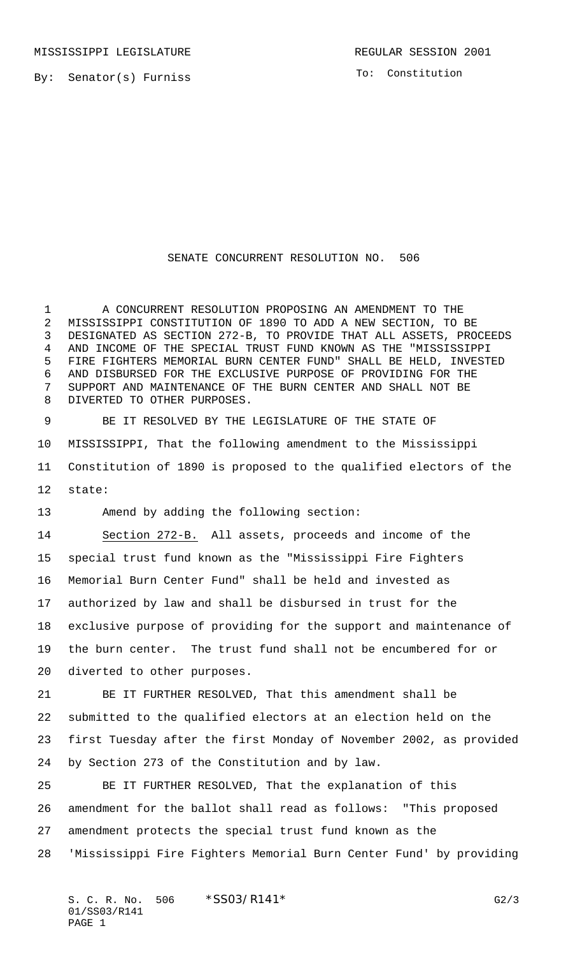By: Senator(s) Furniss

To: Constitution

## SENATE CONCURRENT RESOLUTION NO. 506

 A CONCURRENT RESOLUTION PROPOSING AN AMENDMENT TO THE MISSISSIPPI CONSTITUTION OF 1890 TO ADD A NEW SECTION, TO BE DESIGNATED AS SECTION 272-B, TO PROVIDE THAT ALL ASSETS, PROCEEDS AND INCOME OF THE SPECIAL TRUST FUND KNOWN AS THE "MISSISSIPPI FIRE FIGHTERS MEMORIAL BURN CENTER FUND" SHALL BE HELD, INVESTED AND DISBURSED FOR THE EXCLUSIVE PURPOSE OF PROVIDING FOR THE SUPPORT AND MAINTENANCE OF THE BURN CENTER AND SHALL NOT BE DIVERTED TO OTHER PURPOSES.

 BE IT RESOLVED BY THE LEGISLATURE OF THE STATE OF MISSISSIPPI, That the following amendment to the Mississippi Constitution of 1890 is proposed to the qualified electors of the state:

Amend by adding the following section:

 Section 272-B. All assets, proceeds and income of the special trust fund known as the "Mississippi Fire Fighters Memorial Burn Center Fund" shall be held and invested as authorized by law and shall be disbursed in trust for the exclusive purpose of providing for the support and maintenance of the burn center. The trust fund shall not be encumbered for or diverted to other purposes. BE IT FURTHER RESOLVED, That this amendment shall be

 submitted to the qualified electors at an election held on the first Tuesday after the first Monday of November 2002, as provided by Section 273 of the Constitution and by law.

 BE IT FURTHER RESOLVED, That the explanation of this amendment for the ballot shall read as follows: "This proposed amendment protects the special trust fund known as the 'Mississippi Fire Fighters Memorial Burn Center Fund' by providing